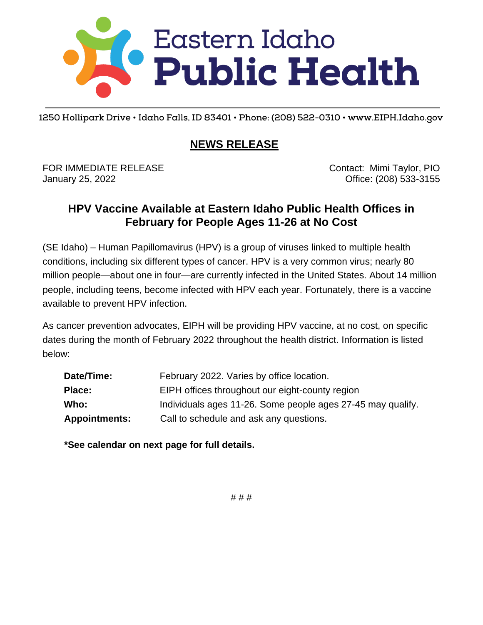

**1250 Hollipark Drive • Idaho Falls, ID 83401 • Phone: (208) 522-0310 • www.EIPH.Idaho.gov**

#### **NEWS RELEASE**

FOR IMMEDIATE RELEASE CONTACT CONTACT: Mimi Taylor, PIO January 25, 2022 Office: (208) 533-3155

#### **HPV Vaccine Available at Eastern Idaho Public Health Offices in February for People Ages 11-26 at No Cost**

(SE Idaho) – Human Papillomavirus (HPV) is a group of viruses linked to multiple health conditions, including six different types of cancer. HPV is a very common virus; nearly 80 million people—about one in four—are currently infected in the United States. About 14 million people, including teens, become infected with HPV each year. Fortunately, there is a vaccine available to prevent HPV infection.

As cancer prevention advocates, EIPH will be providing HPV vaccine, at no cost, on specific dates during the month of February 2022 throughout the health district. Information is listed below:

| Date/Time:           | February 2022. Varies by office location.                   |  |  |
|----------------------|-------------------------------------------------------------|--|--|
| Place:               | EIPH offices throughout our eight-county region             |  |  |
| Who:                 | Individuals ages 11-26. Some people ages 27-45 may qualify. |  |  |
| <b>Appointments:</b> | Call to schedule and ask any questions.                     |  |  |

**\*See calendar on next page for full details.**

# # #